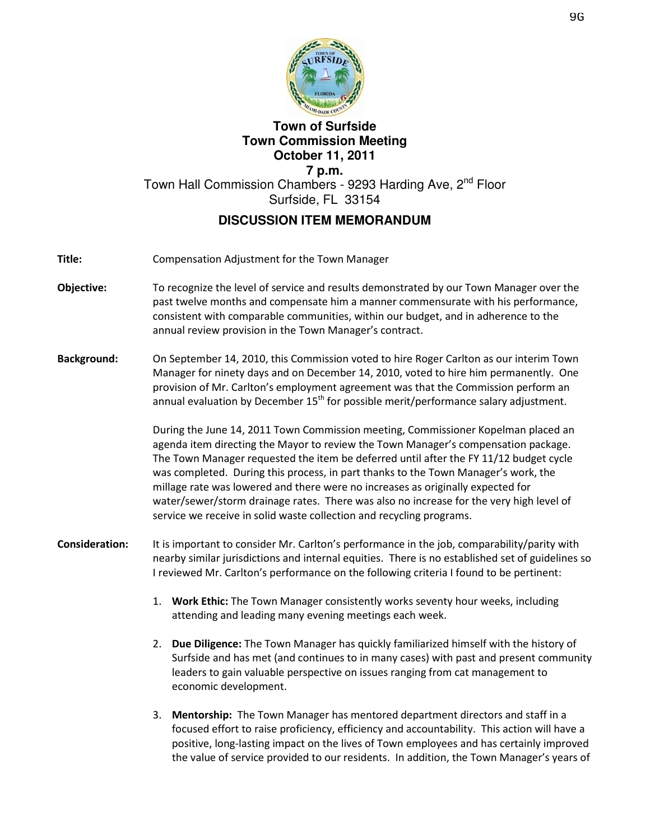

## **Town of Surfside Town Commission Meeting October 11, 2011 7 p.m.**  Town Hall Commission Chambers - 9293 Harding Ave, 2<sup>nd</sup> Floor Surfside, FL 33154 **DISCUSSION ITEM MEMORANDUM**

- Title: Compensation Adjustment for the Town Manager
- Objective: To recognize the level of service and results demonstrated by our Town Manager over the past twelve months and compensate him a manner commensurate with his performance, consistent with comparable communities, within our budget, and in adherence to the annual review provision in the Town Manager's contract.
- Background: On September 14, 2010, this Commission voted to hire Roger Carlton as our interim Town Manager for ninety days and on December 14, 2010, voted to hire him permanently. One provision of Mr. Carlton's employment agreement was that the Commission perform an annual evaluation by December  $15<sup>th</sup>$  for possible merit/performance salary adjustment.

During the June 14, 2011 Town Commission meeting, Commissioner Kopelman placed an agenda item directing the Mayor to review the Town Manager's compensation package. The Town Manager requested the item be deferred until after the FY 11/12 budget cycle was completed. During this process, in part thanks to the Town Manager's work, the millage rate was lowered and there were no increases as originally expected for water/sewer/storm drainage rates. There was also no increase for the very high level of service we receive in solid waste collection and recycling programs.

- Consideration: It is important to consider Mr. Carlton's performance in the job, comparability/parity with nearby similar jurisdictions and internal equities. There is no established set of guidelines so I reviewed Mr. Carlton's performance on the following criteria I found to be pertinent:
	- 1. Work Ethic: The Town Manager consistently works seventy hour weeks, including attending and leading many evening meetings each week.
	- 2. Due Diligence: The Town Manager has quickly familiarized himself with the history of Surfside and has met (and continues to in many cases) with past and present community leaders to gain valuable perspective on issues ranging from cat management to economic development.
	- 3. Mentorship: The Town Manager has mentored department directors and staff in a focused effort to raise proficiency, efficiency and accountability. This action will have a positive, long-lasting impact on the lives of Town employees and has certainly improved the value of service provided to our residents. In addition, the Town Manager's years of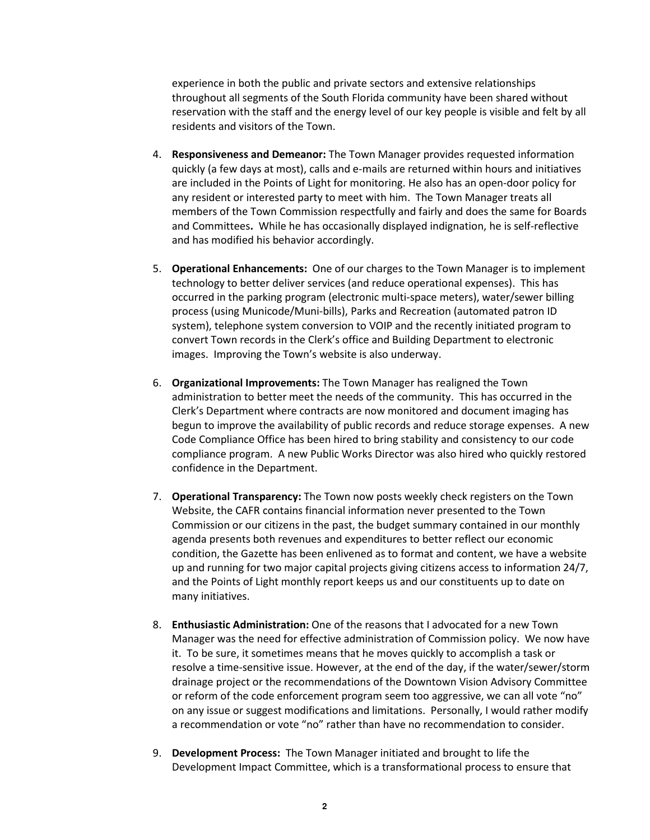experience in both the public and private sectors and extensive relationships throughout all segments of the South Florida community have been shared without reservation with the staff and the energy level of our key people is visible and felt by all residents and visitors of the Town.

- 4. Responsiveness and Demeanor: The Town Manager provides requested information quickly (a few days at most), calls and e-mails are returned within hours and initiatives are included in the Points of Light for monitoring. He also has an open-door policy for any resident or interested party to meet with him. The Town Manager treats all members of the Town Commission respectfully and fairly and does the same for Boards and Committees. While he has occasionally displayed indignation, he is self-reflective and has modified his behavior accordingly.
- 5. Operational Enhancements: One of our charges to the Town Manager is to implement technology to better deliver services (and reduce operational expenses). This has occurred in the parking program (electronic multi-space meters), water/sewer billing process (using Municode/Muni-bills), Parks and Recreation (automated patron ID system), telephone system conversion to VOIP and the recently initiated program to convert Town records in the Clerk's office and Building Department to electronic images. Improving the Town's website is also underway.
- 6. Organizational Improvements: The Town Manager has realigned the Town administration to better meet the needs of the community. This has occurred in the Clerk's Department where contracts are now monitored and document imaging has begun to improve the availability of public records and reduce storage expenses. A new Code Compliance Office has been hired to bring stability and consistency to our code compliance program. A new Public Works Director was also hired who quickly restored confidence in the Department.
- 7. Operational Transparency: The Town now posts weekly check registers on the Town Website, the CAFR contains financial information never presented to the Town Commission or our citizens in the past, the budget summary contained in our monthly agenda presents both revenues and expenditures to better reflect our economic condition, the Gazette has been enlivened as to format and content, we have a website up and running for two major capital projects giving citizens access to information 24/7, and the Points of Light monthly report keeps us and our constituents up to date on many initiatives.
- 8. Enthusiastic Administration: One of the reasons that I advocated for a new Town Manager was the need for effective administration of Commission policy. We now have it. To be sure, it sometimes means that he moves quickly to accomplish a task or resolve a time-sensitive issue. However, at the end of the day, if the water/sewer/storm drainage project or the recommendations of the Downtown Vision Advisory Committee or reform of the code enforcement program seem too aggressive, we can all vote "no" on any issue or suggest modifications and limitations. Personally, I would rather modify a recommendation or vote "no" rather than have no recommendation to consider.
- 9. Development Process: The Town Manager initiated and brought to life the Development Impact Committee, which is a transformational process to ensure that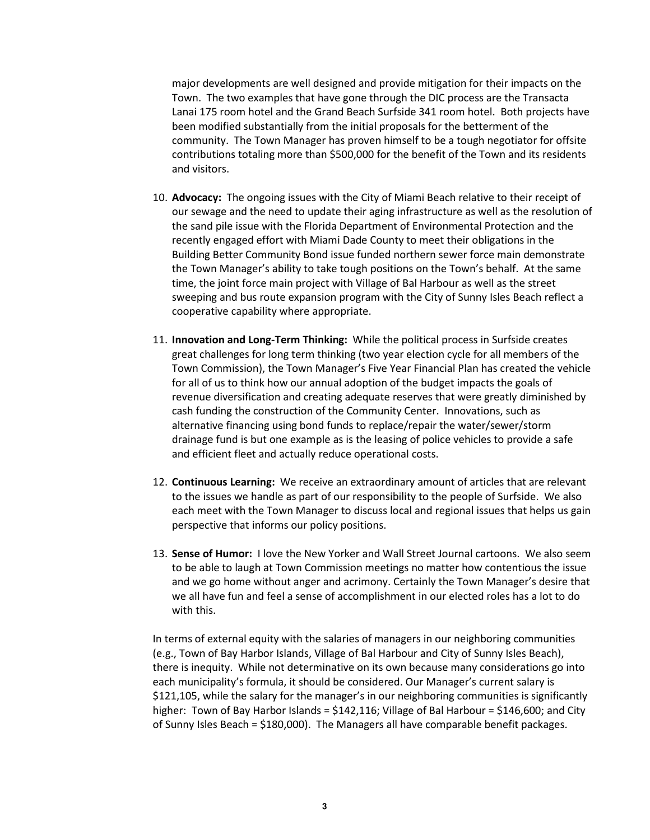major developments are well designed and provide mitigation for their impacts on the Town. The two examples that have gone through the DIC process are the Transacta Lanai 175 room hotel and the Grand Beach Surfside 341 room hotel. Both projects have been modified substantially from the initial proposals for the betterment of the community. The Town Manager has proven himself to be a tough negotiator for offsite contributions totaling more than \$500,000 for the benefit of the Town and its residents and visitors.

- 10. Advocacy: The ongoing issues with the City of Miami Beach relative to their receipt of our sewage and the need to update their aging infrastructure as well as the resolution of the sand pile issue with the Florida Department of Environmental Protection and the recently engaged effort with Miami Dade County to meet their obligations in the Building Better Community Bond issue funded northern sewer force main demonstrate the Town Manager's ability to take tough positions on the Town's behalf. At the same time, the joint force main project with Village of Bal Harbour as well as the street sweeping and bus route expansion program with the City of Sunny Isles Beach reflect a cooperative capability where appropriate.
- 11. Innovation and Long-Term Thinking: While the political process in Surfside creates great challenges for long term thinking (two year election cycle for all members of the Town Commission), the Town Manager's Five Year Financial Plan has created the vehicle for all of us to think how our annual adoption of the budget impacts the goals of revenue diversification and creating adequate reserves that were greatly diminished by cash funding the construction of the Community Center. Innovations, such as alternative financing using bond funds to replace/repair the water/sewer/storm drainage fund is but one example as is the leasing of police vehicles to provide a safe and efficient fleet and actually reduce operational costs.
- 12. Continuous Learning: We receive an extraordinary amount of articles that are relevant to the issues we handle as part of our responsibility to the people of Surfside. We also each meet with the Town Manager to discuss local and regional issues that helps us gain perspective that informs our policy positions.
- 13. Sense of Humor: I love the New Yorker and Wall Street Journal cartoons. We also seem to be able to laugh at Town Commission meetings no matter how contentious the issue and we go home without anger and acrimony. Certainly the Town Manager's desire that we all have fun and feel a sense of accomplishment in our elected roles has a lot to do with this.

In terms of external equity with the salaries of managers in our neighboring communities (e.g., Town of Bay Harbor Islands, Village of Bal Harbour and City of Sunny Isles Beach), there is inequity. While not determinative on its own because many considerations go into each municipality's formula, it should be considered. Our Manager's current salary is \$121,105, while the salary for the manager's in our neighboring communities is significantly higher: Town of Bay Harbor Islands =  $$142,116$ ; Village of Bal Harbour =  $$146,600$ ; and City of Sunny Isles Beach = \$180,000). The Managers all have comparable benefit packages.